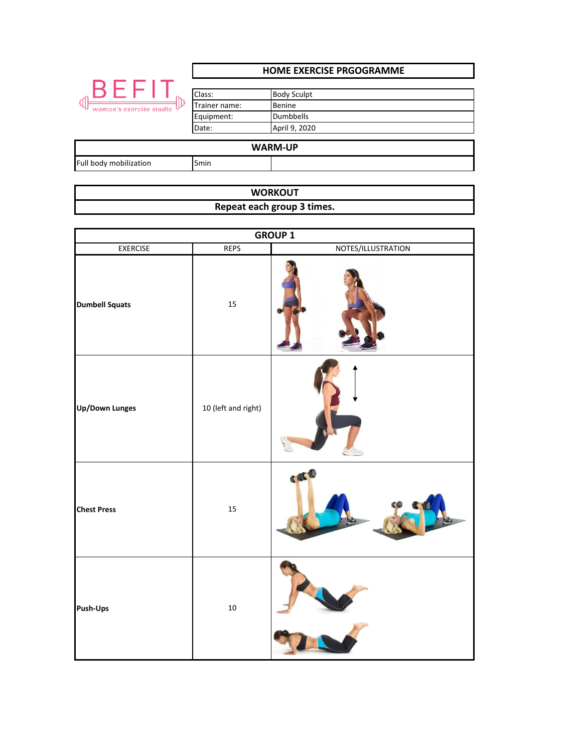|                                             | <b>HOME EXERCISE PRGOGRAMME</b>                |                                                                          |  |
|---------------------------------------------|------------------------------------------------|--------------------------------------------------------------------------|--|
| BEFI<br><b>d</b><br>woman's exercise studio | Class:<br>Trainer name:<br>Equipment:<br>Date: | <b>Body Sculpt</b><br><b>Benine</b><br><b>Dumbbells</b><br>April 9, 2020 |  |
| <b>WARM-UP</b>                              |                                                |                                                                          |  |
| Full body mobilization                      | 5 <sub>min</sub>                               |                                                                          |  |

| <b>WORKOUT</b>             |  |
|----------------------------|--|
| Repeat each group 3 times. |  |

| <b>GROUP 1</b>        |                     |                    |  |
|-----------------------|---------------------|--------------------|--|
| <b>EXERCISE</b>       | <b>REPS</b>         | NOTES/ILLUSTRATION |  |
| <b>Dumbell Squats</b> | 15                  |                    |  |
| <b>Up/Down Lunges</b> | 10 (left and right) |                    |  |
| <b>Chest Press</b>    | 15                  | CAL                |  |
| Push-Ups              | $10\,$              |                    |  |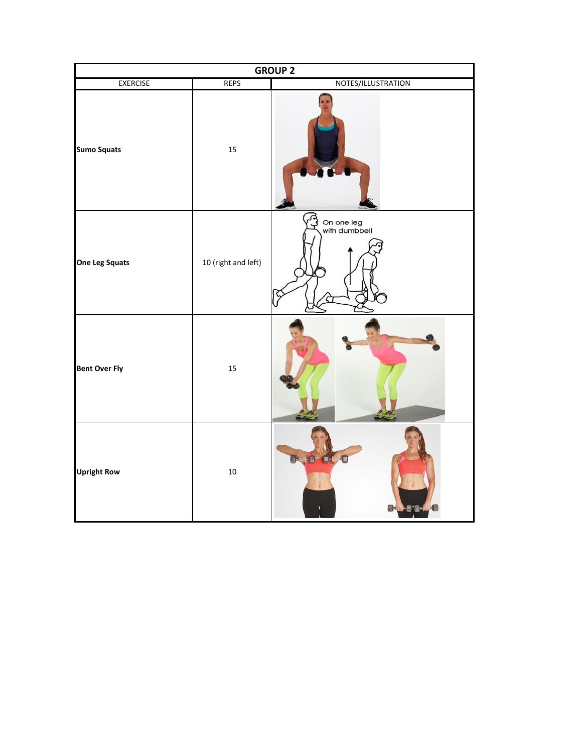| <b>GROUP 2</b>        |                     |                             |  |
|-----------------------|---------------------|-----------------------------|--|
| <b>EXERCISE</b>       | <b>REPS</b>         | NOTES/ILLUSTRATION          |  |
| <b>Sumo Squats</b>    | 15                  |                             |  |
| <b>One Leg Squats</b> | 10 (right and left) | On one leg<br>with dumbbell |  |
| <b>Bent Over Fly</b>  | 15                  |                             |  |
| <b>Upright Row</b>    | 10                  | <b>Brought of The G</b>     |  |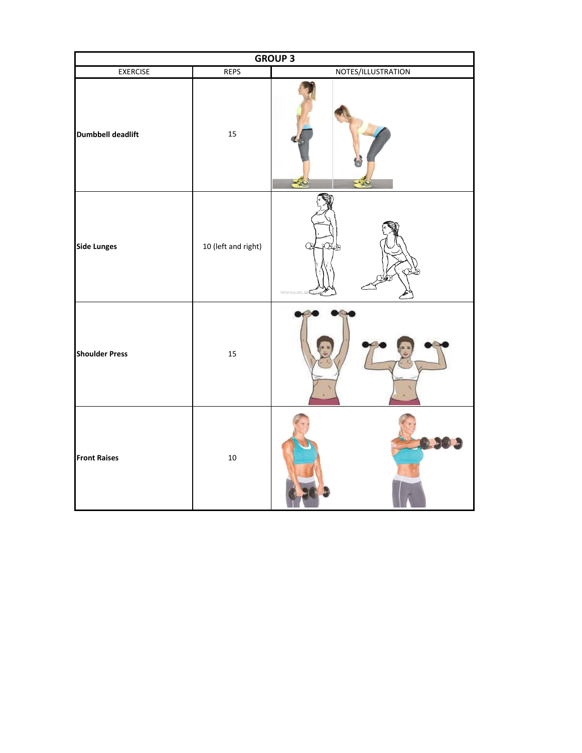| <b>GROUP 3</b>           |                     |                    |  |
|--------------------------|---------------------|--------------------|--|
| <b>EXERCISE</b>          | <b>REPS</b>         | NOTES/ILLUSTRATION |  |
| <b>Dumbbell deadlift</b> | 15                  |                    |  |
| <b>Side Lunges</b>       | 10 (left and right) | WorkoutLab         |  |
| <b>Shoulder Press</b>    | 15                  |                    |  |
| <b>Front Raises</b>      | $10\,$              |                    |  |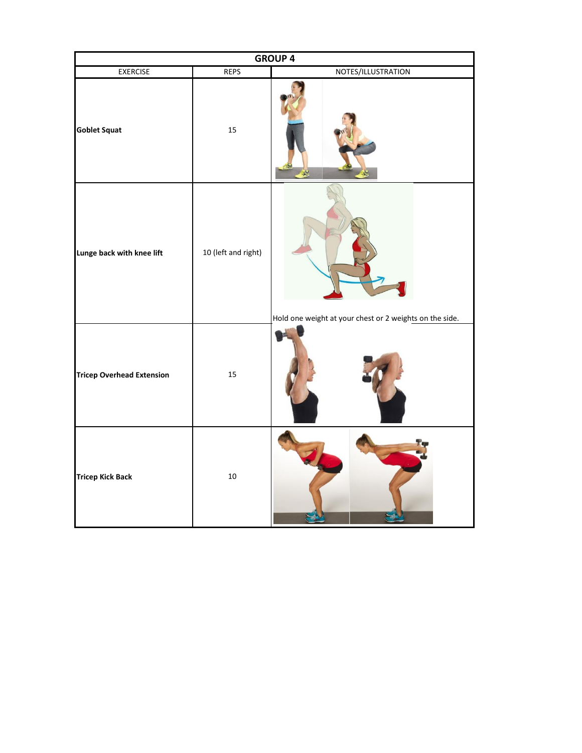| <b>GROUP 4</b>                   |                     |                                                         |  |
|----------------------------------|---------------------|---------------------------------------------------------|--|
| <b>EXERCISE</b>                  | <b>REPS</b>         | NOTES/ILLUSTRATION                                      |  |
| <b>Goblet Squat</b>              | 15                  |                                                         |  |
| Lunge back with knee lift        | 10 (left and right) | Hold one weight at your chest or 2 weights on the side. |  |
| <b>Tricep Overhead Extension</b> | 15                  |                                                         |  |
| <b>Tricep Kick Back</b>          | $10\,$              |                                                         |  |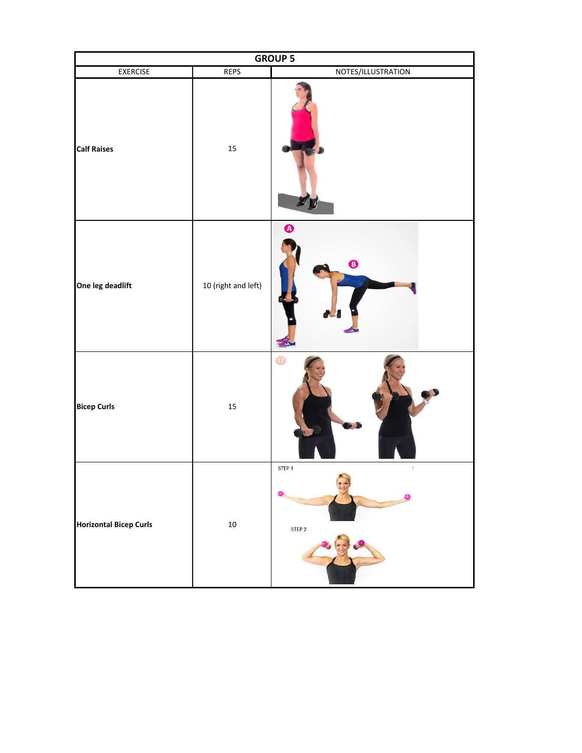| <b>GROUP 5</b>                |                     |                            |  |
|-------------------------------|---------------------|----------------------------|--|
| <b>EXERCISE</b>               | <b>REPS</b>         | NOTES/ILLUSTRATION         |  |
| <b>Calf Raises</b>            | 15                  |                            |  |
| One leg deadlift              | 10 (right and left) | $\bullet$<br>$\mathbf 0$   |  |
| <b>Bicep Curls</b>            | 15                  | $\bf \Phi$                 |  |
| <b>Horizontal Bicep Curls</b> | $10\,$              | STEP 1<br>$\,$ ,<br>STEP 2 |  |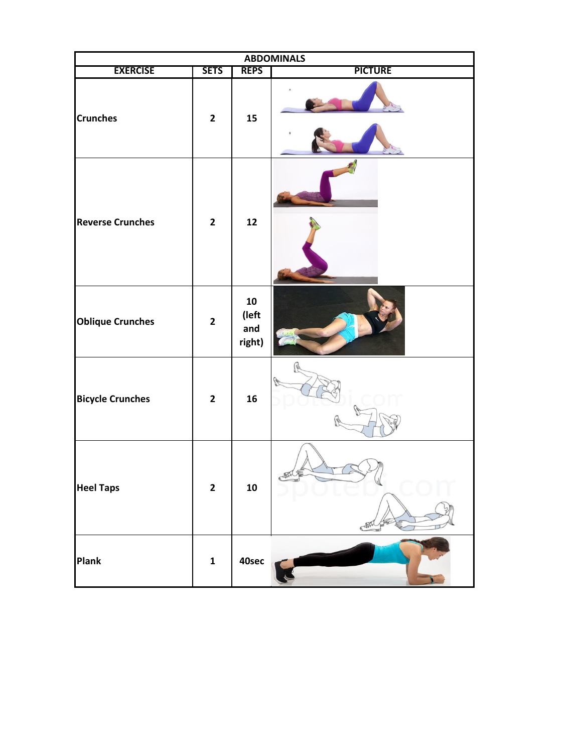| <b>ABDOMINALS</b>       |                |                                      |                |
|-------------------------|----------------|--------------------------------------|----------------|
| <b>EXERCISE</b>         | <b>SETS</b>    | <b>REPS</b>                          | <b>PICTURE</b> |
| <b>Crunches</b>         | $\mathbf{2}$   | 15                                   |                |
| <b>Reverse Crunches</b> | $\overline{2}$ | 12                                   |                |
| <b>Oblique Crunches</b> | $\mathbf{2}$   | ${\bf 10}$<br>(left<br>and<br>right) |                |
| <b>Bicycle Crunches</b> | $\mathbf{2}$   | 16                                   |                |
| <b>Heel Taps</b>        | $\mathbf{2}$   | ${\bf 10}$                           |                |
| <b>Plank</b>            | $\mathbf 1$    | 40sec                                |                |